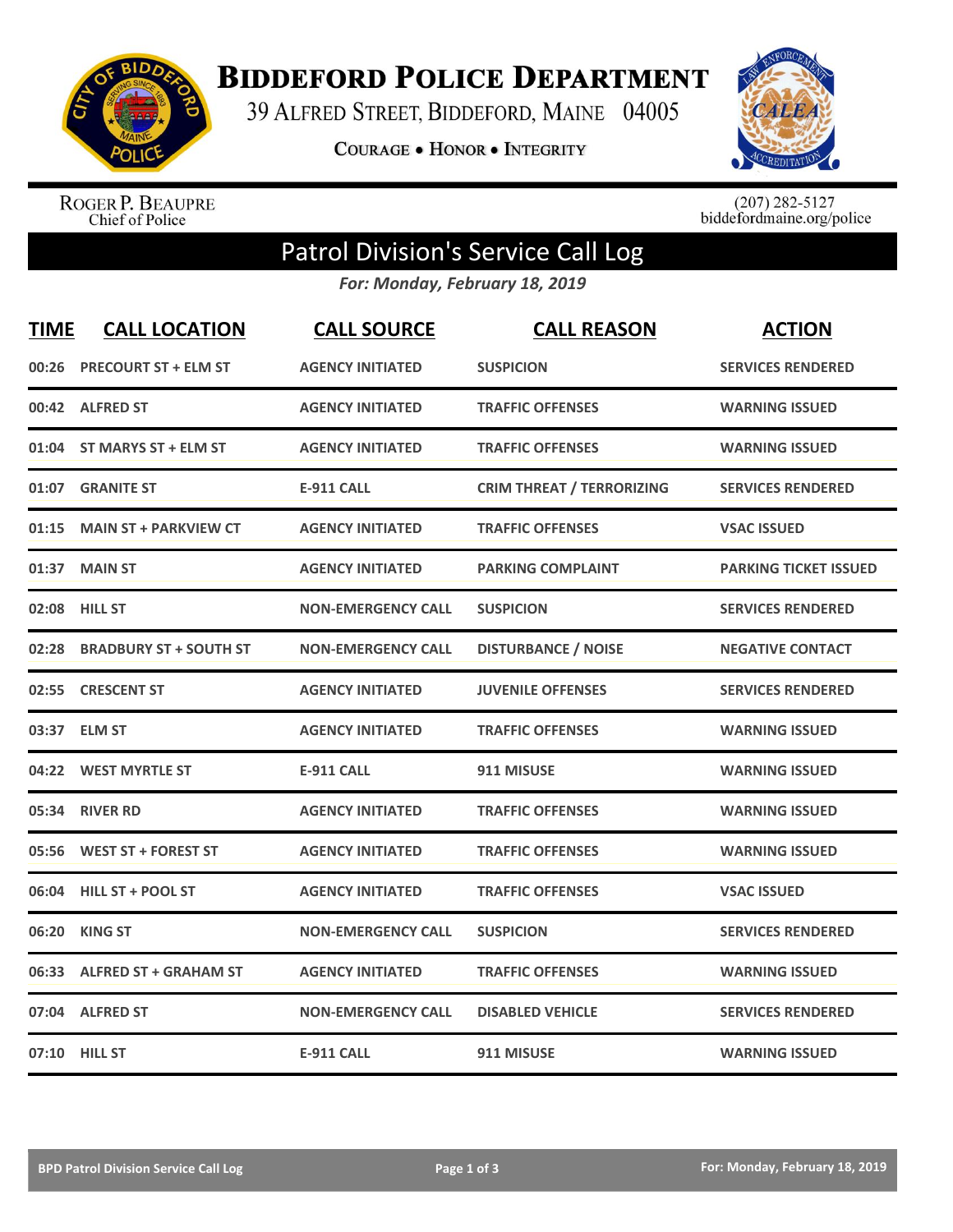

**BIDDEFORD POLICE DEPARTMENT** 

39 ALFRED STREET, BIDDEFORD, MAINE 04005

**COURAGE . HONOR . INTEGRITY** 



ROGER P. BEAUPRE<br>Chief of Police

 $(207)$  282-5127<br>biddefordmaine.org/police

## Patrol Division's Service Call Log

*For: Monday, February 18, 2019*

| <b>TIME</b> | <b>CALL LOCATION</b>          | <b>CALL SOURCE</b>        | <b>CALL REASON</b>               | <b>ACTION</b>                |
|-------------|-------------------------------|---------------------------|----------------------------------|------------------------------|
| 00:26       | <b>PRECOURT ST + ELM ST</b>   | <b>AGENCY INITIATED</b>   | <b>SUSPICION</b>                 | <b>SERVICES RENDERED</b>     |
|             | 00:42 ALFRED ST               | <b>AGENCY INITIATED</b>   | <b>TRAFFIC OFFENSES</b>          | <b>WARNING ISSUED</b>        |
|             | 01:04 ST MARYS ST + ELM ST    | <b>AGENCY INITIATED</b>   | <b>TRAFFIC OFFENSES</b>          | <b>WARNING ISSUED</b>        |
|             | 01:07 GRANITE ST              | <b>E-911 CALL</b>         | <b>CRIM THREAT / TERRORIZING</b> | <b>SERVICES RENDERED</b>     |
| 01:15       | <b>MAIN ST + PARKVIEW CT</b>  | <b>AGENCY INITIATED</b>   | <b>TRAFFIC OFFENSES</b>          | <b>VSAC ISSUED</b>           |
| 01:37       | <b>MAIN ST</b>                | <b>AGENCY INITIATED</b>   | <b>PARKING COMPLAINT</b>         | <b>PARKING TICKET ISSUED</b> |
|             | 02:08 HILL ST                 | <b>NON-EMERGENCY CALL</b> | <b>SUSPICION</b>                 | <b>SERVICES RENDERED</b>     |
| 02:28       | <b>BRADBURY ST + SOUTH ST</b> | <b>NON-EMERGENCY CALL</b> | <b>DISTURBANCE / NOISE</b>       | <b>NEGATIVE CONTACT</b>      |
| 02:55       | <b>CRESCENT ST</b>            | <b>AGENCY INITIATED</b>   | <b>JUVENILE OFFENSES</b>         | <b>SERVICES RENDERED</b>     |
| 03:37       | <b>ELM ST</b>                 | <b>AGENCY INITIATED</b>   | <b>TRAFFIC OFFENSES</b>          | <b>WARNING ISSUED</b>        |
|             | 04:22 WEST MYRTLE ST          | <b>E-911 CALL</b>         | 911 MISUSE                       | <b>WARNING ISSUED</b>        |
| 05:34       | <b>RIVER RD</b>               | <b>AGENCY INITIATED</b>   | <b>TRAFFIC OFFENSES</b>          | <b>WARNING ISSUED</b>        |
| 05:56       | <b>WEST ST + FOREST ST</b>    | <b>AGENCY INITIATED</b>   | <b>TRAFFIC OFFENSES</b>          | <b>WARNING ISSUED</b>        |
| 06:04       | <b>HILL ST + POOL ST</b>      | <b>AGENCY INITIATED</b>   | <b>TRAFFIC OFFENSES</b>          | <b>VSAC ISSUED</b>           |
| 06:20       | <b>KING ST</b>                | <b>NON-EMERGENCY CALL</b> | <b>SUSPICION</b>                 | <b>SERVICES RENDERED</b>     |
|             | 06:33 ALFRED ST + GRAHAM ST   | <b>AGENCY INITIATED</b>   | <b>TRAFFIC OFFENSES</b>          | <b>WARNING ISSUED</b>        |
|             | 07:04 ALFRED ST               | <b>NON-EMERGENCY CALL</b> | <b>DISABLED VEHICLE</b>          | <b>SERVICES RENDERED</b>     |
|             | 07:10 HILL ST                 | <b>E-911 CALL</b>         | 911 MISUSE                       | <b>WARNING ISSUED</b>        |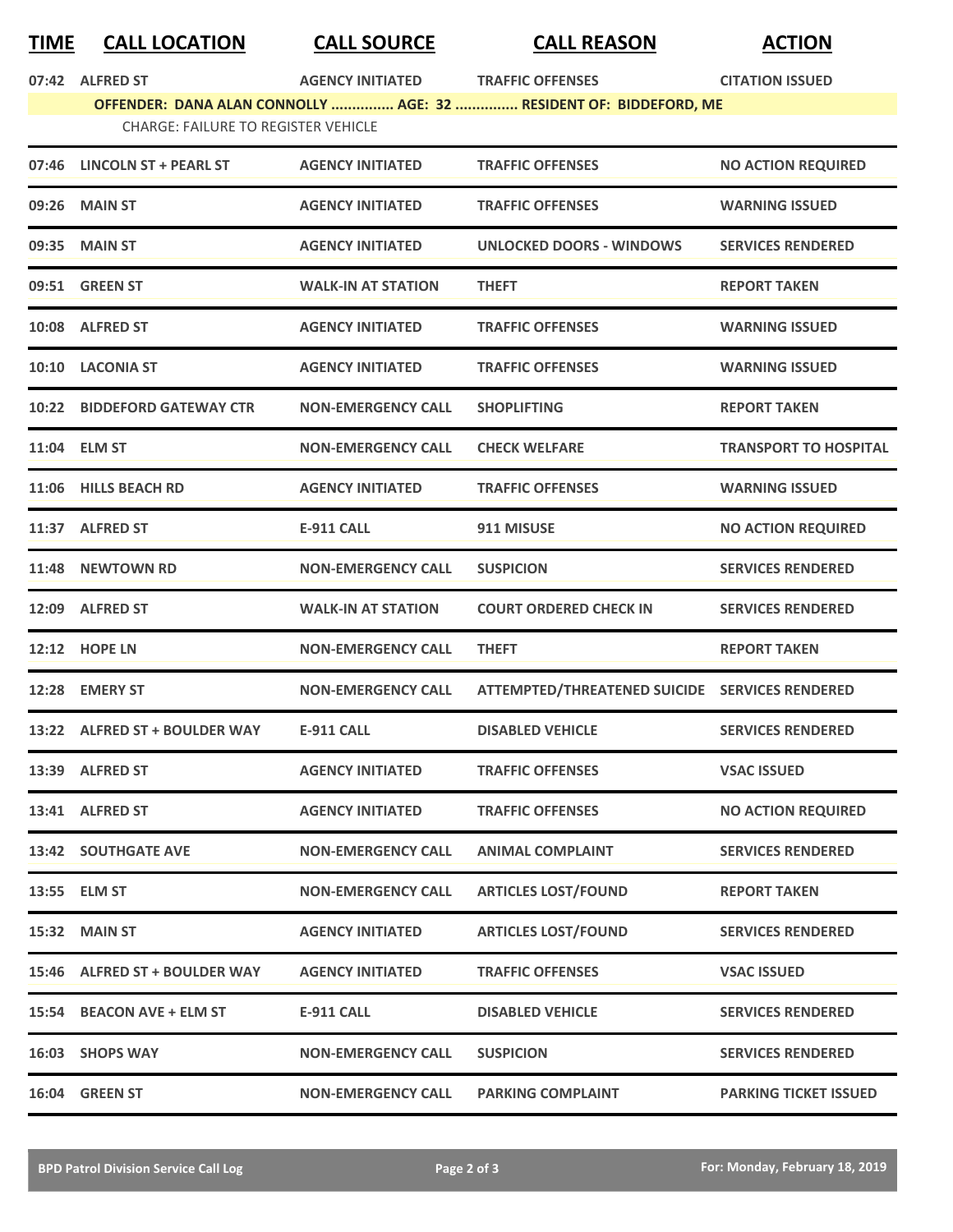## **TIME CALL LOCATION CALL SOURCE CALL REASON ACTION**

|       | 07:42 ALFRED ST                                                   | <b>AGENCY INITIATED</b>   | <b>TRAFFIC OFFENSES</b>                        | <b>CITATION ISSUED</b>       |  |
|-------|-------------------------------------------------------------------|---------------------------|------------------------------------------------|------------------------------|--|
|       | OFFENDER: DANA ALAN CONNOLLY  AGE: 32  RESIDENT OF: BIDDEFORD, ME |                           |                                                |                              |  |
|       | <b>CHARGE: FAILURE TO REGISTER VEHICLE</b>                        |                           |                                                |                              |  |
|       | 07:46 LINCOLN ST + PEARL ST                                       | <b>AGENCY INITIATED</b>   | <b>TRAFFIC OFFENSES</b>                        | <b>NO ACTION REQUIRED</b>    |  |
|       | 09:26 MAIN ST                                                     | <b>AGENCY INITIATED</b>   | <b>TRAFFIC OFFENSES</b>                        | <b>WARNING ISSUED</b>        |  |
|       | 09:35 MAIN ST                                                     | <b>AGENCY INITIATED</b>   | <b>UNLOCKED DOORS - WINDOWS</b>                | <b>SERVICES RENDERED</b>     |  |
|       | 09:51 GREEN ST                                                    | <b>WALK-IN AT STATION</b> | <b>THEFT</b>                                   | <b>REPORT TAKEN</b>          |  |
|       | 10:08 ALFRED ST                                                   | <b>AGENCY INITIATED</b>   | <b>TRAFFIC OFFENSES</b>                        | <b>WARNING ISSUED</b>        |  |
|       | 10:10 LACONIA ST                                                  | <b>AGENCY INITIATED</b>   | <b>TRAFFIC OFFENSES</b>                        | <b>WARNING ISSUED</b>        |  |
|       | 10:22 BIDDEFORD GATEWAY CTR                                       | <b>NON-EMERGENCY CALL</b> | <b>SHOPLIFTING</b>                             | <b>REPORT TAKEN</b>          |  |
|       | 11:04 ELM ST                                                      | <b>NON-EMERGENCY CALL</b> | <b>CHECK WELFARE</b>                           | <b>TRANSPORT TO HOSPITAL</b> |  |
|       | 11:06 HILLS BEACH RD                                              | <b>AGENCY INITIATED</b>   | <b>TRAFFIC OFFENSES</b>                        | <b>WARNING ISSUED</b>        |  |
|       | 11:37 ALFRED ST                                                   | <b>E-911 CALL</b>         | 911 MISUSE                                     | <b>NO ACTION REQUIRED</b>    |  |
| 11:48 | <b>NEWTOWN RD</b>                                                 | <b>NON-EMERGENCY CALL</b> | <b>SUSPICION</b>                               | <b>SERVICES RENDERED</b>     |  |
|       | 12:09 ALFRED ST                                                   | <b>WALK-IN AT STATION</b> | <b>COURT ORDERED CHECK IN</b>                  | <b>SERVICES RENDERED</b>     |  |
|       | <b>12:12 HOPE LN</b>                                              | <b>NON-EMERGENCY CALL</b> | <b>THEFT</b>                                   | <b>REPORT TAKEN</b>          |  |
| 12:28 | <b>EMERY ST</b>                                                   | <b>NON-EMERGENCY CALL</b> | ATTEMPTED/THREATENED SUICIDE SERVICES RENDERED |                              |  |
|       | 13:22 ALFRED ST + BOULDER WAY                                     | <b>E-911 CALL</b>         | <b>DISABLED VEHICLE</b>                        | <b>SERVICES RENDERED</b>     |  |
|       | 13:39 ALFRED ST                                                   | <b>AGENCY INITIATED</b>   | <b>TRAFFIC OFFENSES</b>                        | <b>VSAC ISSUED</b>           |  |
|       | 13:41 ALFRED ST                                                   | <b>AGENCY INITIATED</b>   | <b>TRAFFIC OFFENSES</b>                        | <b>NO ACTION REQUIRED</b>    |  |
|       | <b>13:42 SOUTHGATE AVE</b>                                        | <b>NON-EMERGENCY CALL</b> | <b>ANIMAL COMPLAINT</b>                        | <b>SERVICES RENDERED</b>     |  |
|       | 13:55 ELM ST                                                      | <b>NON-EMERGENCY CALL</b> | <b>ARTICLES LOST/FOUND</b>                     | <b>REPORT TAKEN</b>          |  |
| 15:32 | <b>MAIN ST</b>                                                    | <b>AGENCY INITIATED</b>   | <b>ARTICLES LOST/FOUND</b>                     | <b>SERVICES RENDERED</b>     |  |
|       | 15:46 ALFRED ST + BOULDER WAY                                     | <b>AGENCY INITIATED</b>   | <b>TRAFFIC OFFENSES</b>                        | <b>VSAC ISSUED</b>           |  |
| 15:54 | <b>BEACON AVE + ELM ST</b>                                        | <b>E-911 CALL</b>         | <b>DISABLED VEHICLE</b>                        | <b>SERVICES RENDERED</b>     |  |
|       | 16:03 SHOPS WAY                                                   | <b>NON-EMERGENCY CALL</b> | <b>SUSPICION</b>                               | <b>SERVICES RENDERED</b>     |  |
|       | 16:04 GREEN ST                                                    | <b>NON-EMERGENCY CALL</b> | <b>PARKING COMPLAINT</b>                       | <b>PARKING TICKET ISSUED</b> |  |